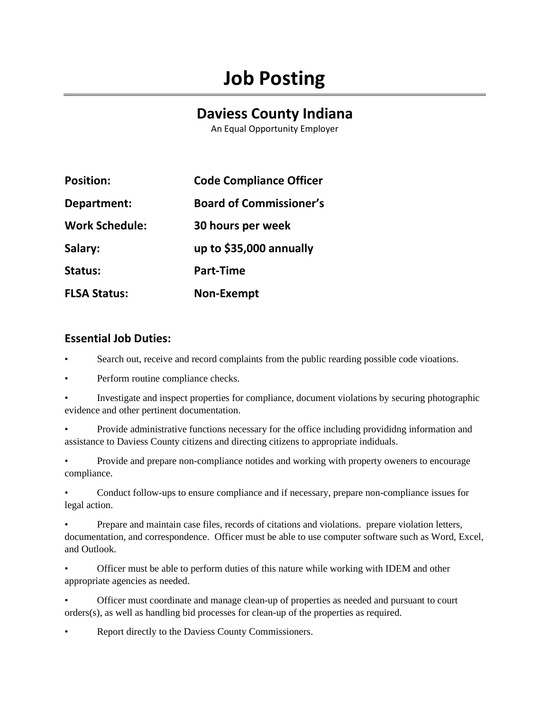## **Job Posting**

## **Daviess County Indiana**

An Equal Opportunity Employer

| <b>Position:</b>      | <b>Code Compliance Officer</b> |
|-----------------------|--------------------------------|
| Department:           | <b>Board of Commissioner's</b> |
| <b>Work Schedule:</b> | 30 hours per week              |
| Salary:               | up to \$35,000 annually        |
| Status:               | <b>Part-Time</b>               |
| <b>FLSA Status:</b>   | <b>Non-Exempt</b>              |

## **Essential Job Duties:**

• Search out, receive and record complaints from the public rearding possible code vioations.

• Perform routine compliance checks.

• Investigate and inspect properties for compliance, document violations by securing photographic evidence and other pertinent documentation.

• Provide administrative functions necessary for the office including provididng information and assistance to Daviess County citizens and directing citizens to appropriate indiduals.

• Provide and prepare non-compliance notides and working with property oweners to encourage compliance.

• Conduct follow-ups to ensure compliance and if necessary, prepare non-compliance issues for legal action.

• Prepare and maintain case files, records of citations and violations. prepare violation letters, documentation, and correspondence. Officer must be able to use computer software such as Word, Excel, and Outlook.

• Officer must be able to perform duties of this nature while working with IDEM and other appropriate agencies as needed.

• Officer must coordinate and manage clean-up of properties as needed and pursuant to court orders(s), as well as handling bid processes for clean-up of the properties as required.

Report directly to the Daviess County Commissioners.